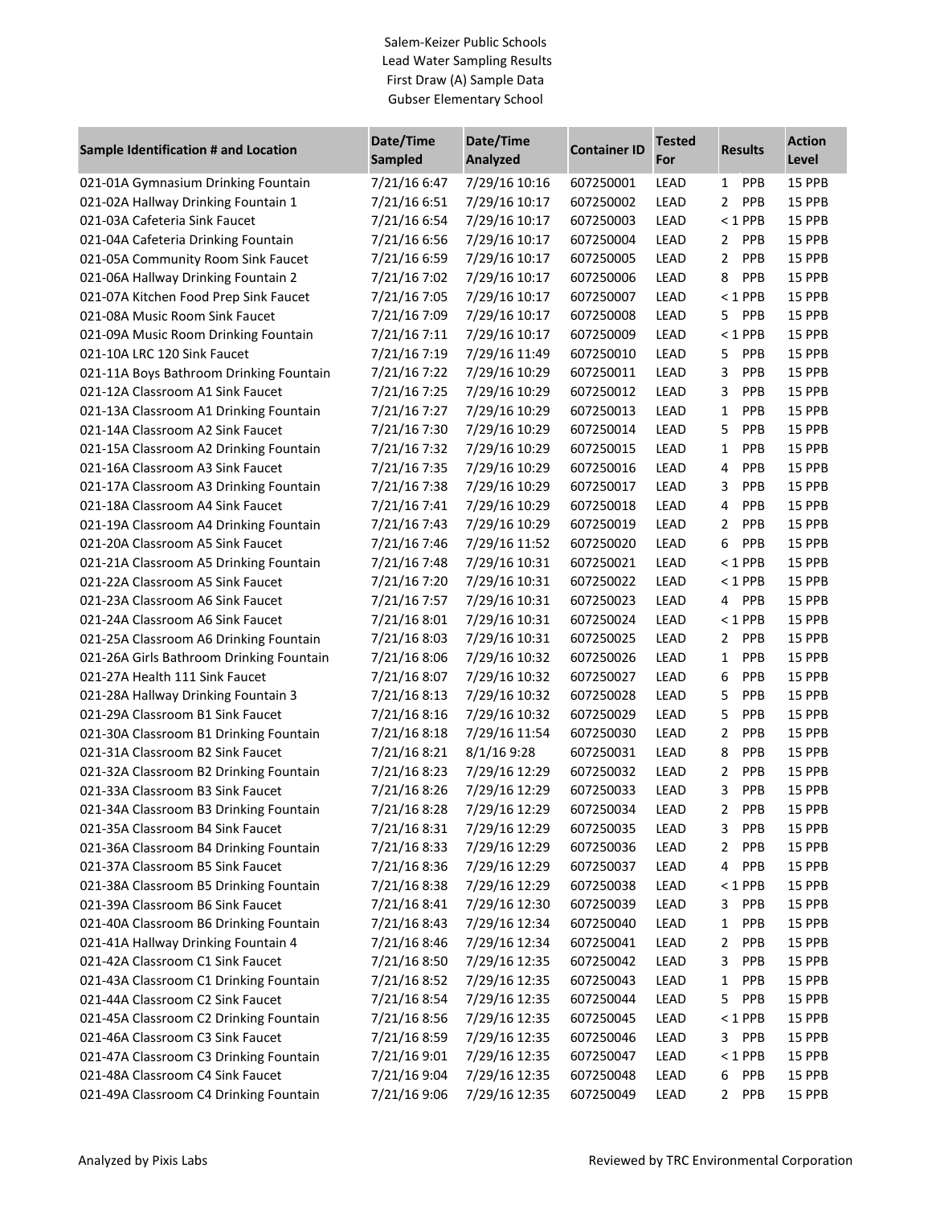## Salem-Keizer Public Schools Lead Water Sampling Results First Draw (A) Sample Data Gubser Elementary School

| <b>Sample Identification # and Location</b> | Date/Time<br><b>Sampled</b> | Date/Time<br><b>Analyzed</b> | <b>Container ID</b> | Tested<br>For | <b>Results</b>               | <b>Action</b><br>Level |
|---------------------------------------------|-----------------------------|------------------------------|---------------------|---------------|------------------------------|------------------------|
| 021-01A Gymnasium Drinking Fountain         | 7/21/16 6:47                | 7/29/16 10:16                | 607250001           | LEAD          | PPB<br>1                     | 15 PPB                 |
| 021-02A Hallway Drinking Fountain 1         | 7/21/16 6:51                | 7/29/16 10:17                | 607250002           | <b>LEAD</b>   | $\overline{2}$<br><b>PPB</b> | 15 PPB                 |
| 021-03A Cafeteria Sink Faucet               | 7/21/16 6:54                | 7/29/16 10:17                | 607250003           | LEAD          | $<$ 1 PPB                    | 15 PPB                 |
| 021-04A Cafeteria Drinking Fountain         | 7/21/16 6:56                | 7/29/16 10:17                | 607250004           | <b>LEAD</b>   | PPB<br>2                     | 15 PPB                 |
| 021-05A Community Room Sink Faucet          | 7/21/16 6:59                | 7/29/16 10:17                | 607250005           | <b>LEAD</b>   | $\mathbf{2}$<br>PPB          | 15 PPB                 |
| 021-06A Hallway Drinking Fountain 2         | 7/21/16 7:02                | 7/29/16 10:17                | 607250006           | <b>LEAD</b>   | 8<br>PPB                     | 15 PPB                 |
| 021-07A Kitchen Food Prep Sink Faucet       | 7/21/16 7:05                | 7/29/16 10:17                | 607250007           | LEAD          | $< 1$ PPB                    | 15 PPB                 |
| 021-08A Music Room Sink Faucet              | 7/21/16 7:09                | 7/29/16 10:17                | 607250008           | <b>LEAD</b>   | PPB<br>5.                    | 15 PPB                 |
| 021-09A Music Room Drinking Fountain        | 7/21/16 7:11                | 7/29/16 10:17                | 607250009           | <b>LEAD</b>   | $<$ 1 PPB                    | 15 PPB                 |
| 021-10A LRC 120 Sink Faucet                 | 7/21/16 7:19                | 7/29/16 11:49                | 607250010           | <b>LEAD</b>   | 5<br>PPB                     | 15 PPB                 |
| 021-11A Boys Bathroom Drinking Fountain     | 7/21/16 7:22                | 7/29/16 10:29                | 607250011           | <b>LEAD</b>   | 3<br>PPB                     | 15 PPB                 |
| 021-12A Classroom A1 Sink Faucet            | 7/21/16 7:25                | 7/29/16 10:29                | 607250012           | <b>LEAD</b>   | 3<br>PPB                     | 15 PPB                 |
| 021-13A Classroom A1 Drinking Fountain      | 7/21/16 7:27                | 7/29/16 10:29                | 607250013           | <b>LEAD</b>   | PPB<br>$\mathbf{1}$          | 15 PPB                 |
| 021-14A Classroom A2 Sink Faucet            | 7/21/16 7:30                | 7/29/16 10:29                | 607250014           | LEAD          | 5<br>PPB                     | 15 PPB                 |
| 021-15A Classroom A2 Drinking Fountain      | 7/21/16 7:32                | 7/29/16 10:29                | 607250015           | <b>LEAD</b>   | $\mathbf{1}$<br>PPB          | 15 PPB                 |
| 021-16A Classroom A3 Sink Faucet            | 7/21/16 7:35                | 7/29/16 10:29                | 607250016           | <b>LEAD</b>   | 4<br>PPB                     | 15 PPB                 |
| 021-17A Classroom A3 Drinking Fountain      | 7/21/16 7:38                | 7/29/16 10:29                | 607250017           | LEAD          | PPB<br>3                     | 15 PPB                 |
| 021-18A Classroom A4 Sink Faucet            | 7/21/16 7:41                | 7/29/16 10:29                | 607250018           | LEAD          | 4<br>PPB                     | 15 PPB                 |
| 021-19A Classroom A4 Drinking Fountain      | 7/21/16 7:43                | 7/29/16 10:29                | 607250019           | LEAD          | PPB<br>$\overline{2}$        | 15 PPB                 |
| 021-20A Classroom A5 Sink Faucet            | 7/21/16 7:46                | 7/29/16 11:52                | 607250020           | LEAD          | 6<br>PPB                     | 15 PPB                 |
| 021-21A Classroom A5 Drinking Fountain      | 7/21/16 7:48                | 7/29/16 10:31                | 607250021           | LEAD          | $<$ 1 PPB                    | 15 PPB                 |
| 021-22A Classroom A5 Sink Faucet            | 7/21/16 7:20                | 7/29/16 10:31                | 607250022           | <b>LEAD</b>   | $<$ 1 PPB                    | 15 PPB                 |
| 021-23A Classroom A6 Sink Faucet            | 7/21/16 7:57                | 7/29/16 10:31                | 607250023           | <b>LEAD</b>   | PPB<br>4                     | 15 PPB                 |
| 021-24A Classroom A6 Sink Faucet            | 7/21/16 8:01                | 7/29/16 10:31                | 607250024           | LEAD          | $<$ 1 PPB                    | 15 PPB                 |
| 021-25A Classroom A6 Drinking Fountain      | 7/21/16 8:03                | 7/29/16 10:31                | 607250025           | LEAD          | 2<br>PPB                     | 15 PPB                 |
| 021-26A Girls Bathroom Drinking Fountain    | 7/21/16 8:06                | 7/29/16 10:32                | 607250026           | LEAD          | $\mathbf{1}$<br>PPB          | 15 PPB                 |
| 021-27A Health 111 Sink Faucet              | 7/21/16 8:07                | 7/29/16 10:32                | 607250027           | <b>LEAD</b>   | 6<br>PPB                     | 15 PPB                 |
| 021-28A Hallway Drinking Fountain 3         | 7/21/16 8:13                | 7/29/16 10:32                | 607250028           | LEAD          | 5<br>PPB                     | 15 PPB                 |
| 021-29A Classroom B1 Sink Faucet            | 7/21/16 8:16                | 7/29/16 10:32                | 607250029           | <b>LEAD</b>   | 5<br>PPB                     | 15 PPB                 |
| 021-30A Classroom B1 Drinking Fountain      | 7/21/168:18                 | 7/29/16 11:54                | 607250030           | LEAD          | $\overline{2}$<br>PPB        | 15 PPB                 |
| 021-31A Classroom B2 Sink Faucet            | 7/21/16 8:21                | 8/1/16 9:28                  | 607250031           | LEAD          | 8<br>PPB                     | 15 PPB                 |
| 021-32A Classroom B2 Drinking Fountain      | 7/21/16 8:23                | 7/29/16 12:29                | 607250032           | <b>LEAD</b>   | $\overline{2}$<br>PPB        | 15 PPB                 |
| 021-33A Classroom B3 Sink Faucet            | 7/21/168:26                 | 7/29/16 12:29                | 607250033           | LEAD          | 3<br>PPB                     | 15 PPB                 |
| 021-34A Classroom B3 Drinking Fountain      | 7/21/168:28                 | 7/29/16 12:29                | 607250034           | LEAD          | $\overline{a}$<br>PPB        | 15 PPB                 |
| 021-35A Classroom B4 Sink Faucet            | 7/21/16 8:31                | 7/29/16 12:29                | 607250035           | LEAD          | PPB<br>3.                    | 15 PPB                 |
| 021-36A Classroom B4 Drinking Fountain      | 7/21/16 8:33                | 7/29/16 12:29                | 607250036           | LEAD          | $\overline{2}$<br><b>PPB</b> | 15 PPB                 |
| 021-37A Classroom B5 Sink Faucet            | 7/21/16 8:36                | 7/29/16 12:29                | 607250037           | LEAD          | <b>PPB</b><br>4              | 15 PPB                 |
| 021-38A Classroom B5 Drinking Fountain      | 7/21/16 8:38                | 7/29/16 12:29                | 607250038           | LEAD          | $< 1$ PPB                    | 15 PPB                 |
| 021-39A Classroom B6 Sink Faucet            | 7/21/16 8:41                | 7/29/16 12:30                | 607250039           | LEAD          | 3<br><b>PPB</b>              | 15 PPB                 |
| 021-40A Classroom B6 Drinking Fountain      | 7/21/16 8:43                | 7/29/16 12:34                | 607250040           | LEAD          | $\mathbf{1}$<br><b>PPB</b>   | 15 PPB                 |
| 021-41A Hallway Drinking Fountain 4         | 7/21/16 8:46                | 7/29/16 12:34                | 607250041           | LEAD          | <b>PPB</b><br>2              | 15 PPB                 |
| 021-42A Classroom C1 Sink Faucet            | 7/21/16 8:50                | 7/29/16 12:35                | 607250042           | LEAD          | <b>PPB</b><br>3              | 15 PPB                 |
| 021-43A Classroom C1 Drinking Fountain      | 7/21/16 8:52                | 7/29/16 12:35                | 607250043           | LEAD          | <b>PPB</b><br>1              | 15 PPB                 |
| 021-44A Classroom C2 Sink Faucet            | 7/21/16 8:54                | 7/29/16 12:35                | 607250044           | LEAD          | 5<br><b>PPB</b>              | 15 PPB                 |
| 021-45A Classroom C2 Drinking Fountain      | 7/21/16 8:56                | 7/29/16 12:35                | 607250045           | LEAD          | $< 1$ PPB                    | 15 PPB                 |
| 021-46A Classroom C3 Sink Faucet            | 7/21/16 8:59                | 7/29/16 12:35                | 607250046           | LEAD          | 3<br><b>PPB</b>              | 15 PPB                 |
| 021-47A Classroom C3 Drinking Fountain      | 7/21/16 9:01                | 7/29/16 12:35                | 607250047           | LEAD          | $< 1$ PPB                    | 15 PPB                 |
| 021-48A Classroom C4 Sink Faucet            | 7/21/16 9:04                | 7/29/16 12:35                | 607250048           | LEAD          | <b>PPB</b><br>6              | 15 PPB                 |
| 021-49A Classroom C4 Drinking Fountain      | 7/21/16 9:06                | 7/29/16 12:35                | 607250049           | LEAD          | PPB<br>$\mathbf{2}$          | 15 PPB                 |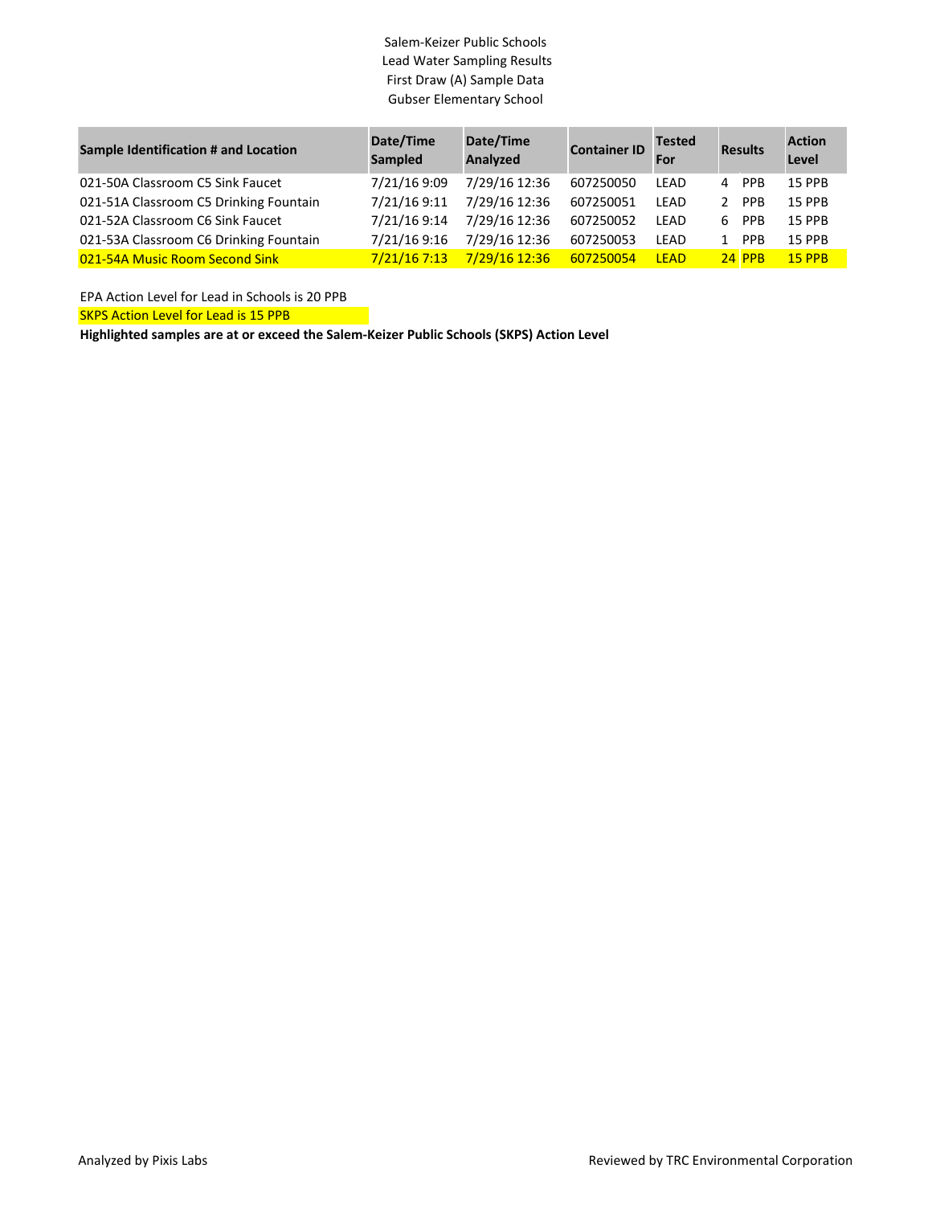## Salem-Keizer Public Schools Lead Water Sampling Results First Draw (A) Sample Data Gubser Elementary School

| <b>Sample Identification # and Location</b> | Date/Time<br>Sampled | Date/Time<br>Analyzed | <b>Container ID</b> | <b>Tested</b><br>For |   | <b>Results</b> | <b>Action</b><br>Level |
|---------------------------------------------|----------------------|-----------------------|---------------------|----------------------|---|----------------|------------------------|
| 021-50A Classroom C5 Sink Faucet            | 7/21/16 9:09         | 7/29/16 12:36         | 607250050           | LEAD                 |   | 4 PPB          | <b>15 PPR</b>          |
| 021-51A Classroom C5 Drinking Fountain      | 7/21/16 9:11         | 7/29/16 12:36         | 607250051           | LEAD                 |   | 2 PPR          | <b>15 PPR</b>          |
| 021-52A Classroom C6 Sink Faucet            | 7/21/16 9:14         | 7/29/16 12:36         | 607250052           | LEAD                 | 6 | <b>PPB</b>     | <b>15 PPB</b>          |
| 021-53A Classroom C6 Drinking Fountain      | 7/21/16 9:16         | 7/29/16 12:36         | 607250053           | LEAD                 |   | <b>PPB</b>     | <b>15 PPB</b>          |
| 021-54A Music Room Second Sink              | 7/21/167:13          | 7/29/16 12:36         | 607250054           | <b>IFAD</b>          |   | <b>24 PPB</b>  | $15$ PPR               |

EPA Action Level for Lead in Schools is 20 PPB

SKPS Action Level for Lead is 15 PPB

**Highlighted samples are at or exceed the Salem-Keizer Public Schools (SKPS) Action Level**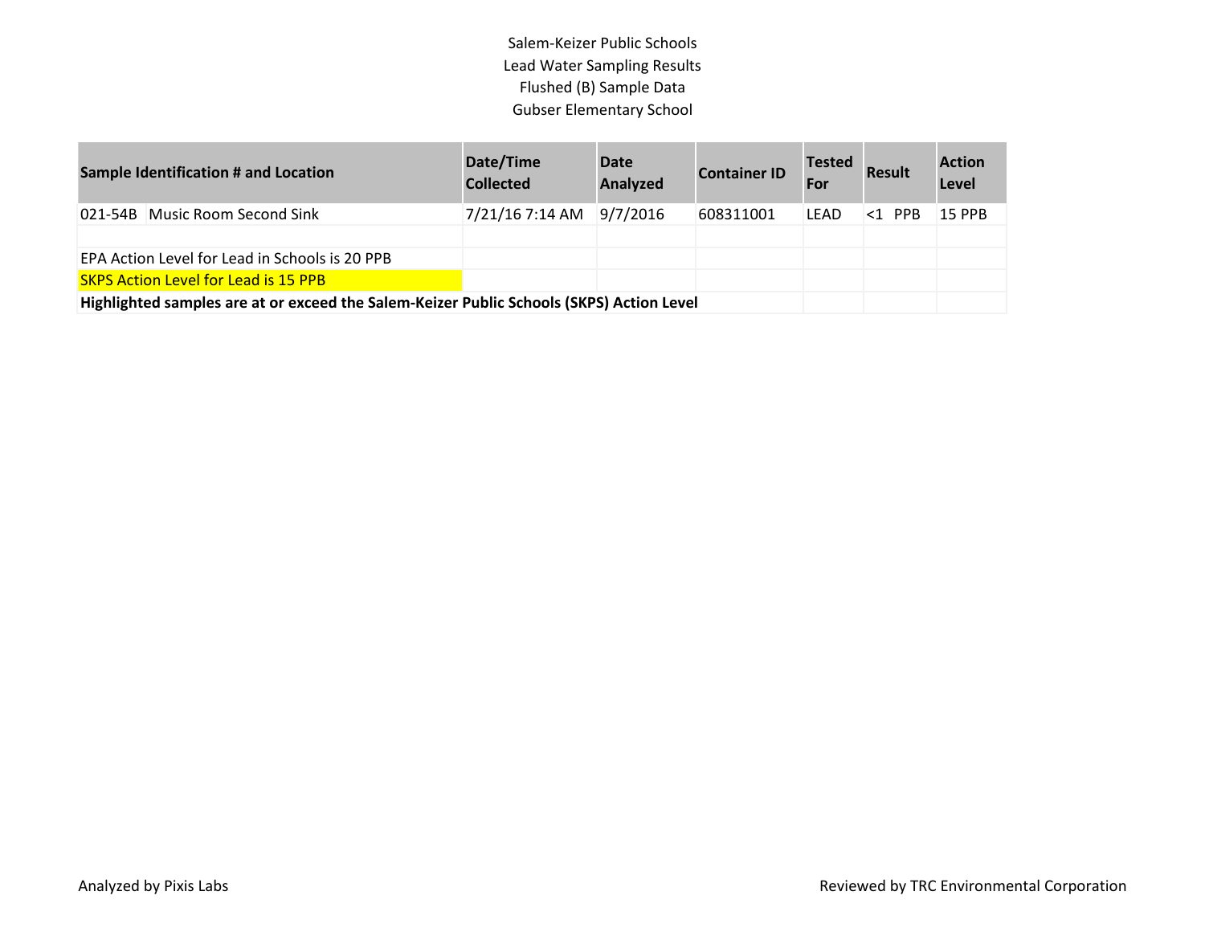Salem-Keizer Public Schools Lead Water Sampling Results Flushed (B) Sample Data Gubser Elementary School

| <b>Sample Identification # and Location</b>                                              | Date/Time<br><b>Collected</b> | <b>Date</b><br><b>Analyzed</b> | <b>Container ID</b> | <b>Tested</b><br>For | <b>Result</b> | <b>Action</b><br>Level |
|------------------------------------------------------------------------------------------|-------------------------------|--------------------------------|---------------------|----------------------|---------------|------------------------|
| 021-54B Music Room Second Sink                                                           | 7/21/16 7:14 AM 9/7/2016      |                                | 608311001           | <b>LEAD</b>          | $<1$ PPR      | <b>15 PPB</b>          |
|                                                                                          |                               |                                |                     |                      |               |                        |
| EPA Action Level for Lead in Schools is 20 PPB                                           |                               |                                |                     |                      |               |                        |
| <b>SKPS Action Level for Lead is 15 PPB</b>                                              |                               |                                |                     |                      |               |                        |
| Highlighted samples are at or exceed the Salem-Keizer Public Schools (SKPS) Action Level |                               |                                |                     |                      |               |                        |